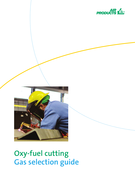



# **Oxy-fuel cutting Gas selection guide**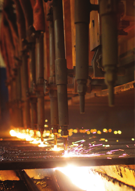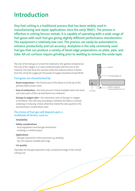# **Introduction**

**Oxy-fuel cutting is a traditional process that has been widely used in manufacturing and repair applications since the early 1900's. The process is effective in cutting ferrous metals. It is capable of operating with a wide range of fuel gases with each fuel gas giving slightly different performance charateristics. The equipment is relatively low cost. The process can easily be automated to enhance productivity and cut accuracy. Acetylene is the only commonly used fuel gas that can produce a variety of bevel edge preparations on plate, pipe, and tube. All cut surfaces require grinding prior to welding to remove the oxide layer.**

The role of the fuel gas is to heat the material to the ignition temperature. The role of the oxygen is to react exothermically with the iron in the material. The heat from the reaction melts the material which is blown from the cut by the oxygen jet. The purity of oxygen should be at least 99.5%.

#### **Fuel gases are characterised by:**

- flame temperature the hottest part of the flame is at the tip of the primary flame (inner cone)
- heat of combustion the total amount of heat available when the inner and outer parts of the oxy-fuel flame are combined
- fuel gas to oxygen ratio the volumetric ratio of fuel gas to oxygen in the flame. This will vary according to whether the flame is neutral, oxidising or reducing. Unless otherwise stated the ratio quoted is the stoichiometric, neutral flame ratio

### **The choice of fuel gas will depend upon a multitude of factors, such as:**

- Availability
- Safety considerations
	- local regulations and fuel gas restrictions
	- working in confined space
- Applications
- fuel gas required for other processes e.g. welding

a ang pagpalangan ng Pangyayang Pangyayang Pangyayang Pangyayang Pangyayang Pangyayang Pangyayang Pangyayang P<br>Pangyayang Pangyayang Pangyayang Pangyayang Pangyayang Pangyayang Pangyayang Pangyayang Pangyayang Pangyayang

- lay-out requires multiple piercings
- Cut quality

Typically, the fuel gas represents only a small percentage of the overall cutting cost.

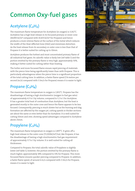# **Common Oxy-fuel gases**

## **Acetylene (C₂H₂)**

The maximum flame temperature for Acetylene (in oxygen) is 3,162°C. Acetylene has a high heat release in its focussed primary or inner cone  $(18,890 \text{ kJ/m}^3 \text{ compared with } 10,433 \text{ kJ/m}^3 \text{ for Propane})$  and hence produces a more intense flame at the surface of the metal which reduces the width of the Heat Affected Zone (HAZ) and minimises distortion. As the heat release from its secondary or outer cone is less than that of Propane it is better suited for cutting up to 10mm.

Acetylene produces the hottest and most concentrated primary flame of all industrial fuel gases. Its calorific value is fairly low (ref table 1) and the portion emitted by the primary flame is very high, approximately 30%, making it better suited for cutting rather than heating.

The hotter and more focussed flame ensues rapid piercing of materials with the pierce time being significantly lower than with Propane. This is particularly advantageous when the pierce time is a significant proportion of the total cutting time. In addition, a faster flame speed (7.4 metres per second (m/s) compared with 3.3m/s for Propane) means it is easier to light.



## **Propane (C₃H₈)**

The maximum flame temperature in oxygen is 2,832°C. Propane has the disadvantage of having a high stoichiometric (oxygen to fuel gas ratio) of approximately 4.3 to 1 by volume, compared to 1.2 to 1 for Acetylene. It has a greater total heat of combustion than Acetylene, but the heat is generated mostly in the outer cone and hence the flame appears to be less focused. Consequently, piercing is much slower but as the burning and slag formation are affected by the oxygen jet, cutting speeds in thicker sections are about the same or even better than for Acetylene. It is well suited for cutting 10mm and over, showing speed advantages compared to Acetylene above 25mm.

### **Propylene (C₃H₆)**

The maximum flame temperature in oxygen is 2,897°C. It gives off a high heat release in the outer cone (72,000kJ/m<sup>3</sup>) but, like Propane, it has the disadvantage of having a high stoichiometric fuel gas requirement of approximately 3.7 to 1 by volume. It is well suited for cutting all thicknesses.

Compared to Propane, the total calorific value of Propylene is slightly lower (ref table 1), however; the portion emitted by the primary flame is much higher, approximately 18% compared to 11% for Propane. This more focussed flame ensures quicker piercing compared to Propane. In addition, a faster flame speed, of around 4 m/s compared with 3.3m/s for Propane, means it is easier to light.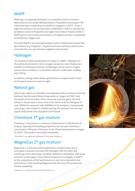### **MAPP**

MAPP gas; as originally developed; is a controlled mixture of several hydrocarbons, principally, Methylacetylene, Propadiene and Propane. The maximum flame temperature for MAPP (in Oxygen) is 2,929°C . It has a high heat release in the primary flame (15,445kJ/m<sup>3</sup>), which is less than for Acetylene, similar to Propylene and higher than that for Propane (table 1). MAPP gives a very similar performance to Propylene and has a comparable stoichiometric oxygen ratio.

The term MAPP is also used generically to refer to hydrocarbon-based fuel gas mixtures (e.g. Propylene – Propane mixtures) and hence performance characteristics can vary between suppliers and over time.

### **Hydrogen**

The maximum flame temperature in Oxygen is 2,808°C. Hydrogen has the lowest stoichiometric ratio to oxygen, produces a clean flame and is suitable for welding aluminium. As Hydrogen can be used at a higher pressure than Acetylene, it is therefore useful for underwater welding and cutting.

In addition, having a faster flame speed (8.9m/s compared with 3.3m/s for Propane) means it is easier to light.

### **Natural gas**

Natural gas, which is a naturally occurring hydrocarbon-mixture, primarily Methane, has the lowest flame temperature in Oxygen of 2,786°C and the lowest total heat value of the commonly used fuel gases. The heat release in the primary or inner cone is the lowest of all the fuel gases at only 1,490kJ/m³ compared with 18,890kJ/m³ for Acetylene. Consequently, natural gas is the slowest to initiate piercing. The preheat times are also significantly slower than Propylene and Propane.

### **Chemtane 2<sup>®</sup> gas mixture<sup>1</sup>**

Chemtane 2 concentrate is a mixture of hydrocarbons of 4% Pentane in Propane. Typically, the blending proportions are one-part Chemtane 2 concentrate to 199 parts of Propane. It has a flame temperature in Oxygen of 2,832°C. This product has limited availability.

<sup>1</sup> Chemtane 2 is a registered trademark of Chemtane Energy LLC.

### **MagneGas 2® gas mixture2**

MagneGas 2 is manufactured by gasification of liquid waste and is principally a mixture of around 50% Hydrogen with the other 50% consisting Carbon Monoxide, Acetylene, Methane and Ethylene with small amounts of other gases. It has a flame temperature in Oxygen of 2,867°C. As the composition of the liquid waste can vary; the composition and performance of the resulting MagneGas will also vary. This product has limited availability.

² MagneGas 2 is a registered trademark of MAGNEGAS IP, LLC.

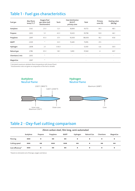### **Table 1 - Fuel gas characteristics**

| Fuel gas       | Max flame<br>temp $(^{\circ}C)^3$ | Oxygen/fuel<br>gas ratios (vol)<br>stoichiometric | Torch  | <b>Heat distribution</b><br>(kJ/m <sup>3</sup> )<br>primary cone | Total                    | Primary<br>cone (%) | Heating value<br>(MJ/kg) |
|----------------|-----------------------------------|---------------------------------------------------|--------|------------------------------------------------------------------|--------------------------|---------------------|--------------------------|
| Acetylene      | 3,162                             | 2.5:1                                             | 1.2:1  | 18,890                                                           | 54,772                   | 34.5                | 48.5                     |
| Propane        | 2,832                             | 5:1                                               | 4.3:1  | 10,433                                                           | 95,758                   | 10.9                | 46.1                     |
| Propylene      | 2,897                             | 4.5:1                                             | 3.7:1  | 16,000                                                           | 88,000                   | 18.2                | 45.8                     |
| <b>MAPP</b>    | 2,929                             | $\ast$                                            | 3.3:1  | 15,445                                                           | 71,876                   | 21.5                | ٠.                       |
| Hydrogen       | 2,808                             | 2:1                                               | 0.42:1 | $\overline{\phantom{a}}$                                         | 12,100                   | n/a                 | 120.1                    |
| Natural gas    | 2,786                             | 0.5:1                                             | 1.8:1  | 1,490                                                            | 37,260                   | 4                   | 40.7                     |
| Chemtane 2 mix | 2,832                             | $\ast$                                            | ٠      | $\overline{\phantom{a}}$                                         | $\sim$                   | $\sim$              | ٠.                       |
| MagneGas       | 2,867                             | $\ast$                                            | ٠.     | $\overline{\phantom{a}}$                                         | $\overline{\phantom{a}}$ | $\sim$              | ٠.                       |

³ Calculated maximum adiabatic flame temperature with Ansys Fluent

\* Stoichiometric ratio not given as composition of the fuel is variable



### **Table 2 - Oxy-fuel cutting comparison**

| 25mm carbon steel, 10m long, semi-automated |           |         |           |             |          |                    |          |          |  |  |  |  |
|---------------------------------------------|-----------|---------|-----------|-------------|----------|--------------------|----------|----------|--|--|--|--|
|                                             | Acetylene | Propane | Propylene | <b>MAPP</b> | Hydrogen | <b>Natural Gas</b> | Chemtane | MagneGas |  |  |  |  |
| Piercing                                    | ***       | ∗       | **        | **          | ☀        | ☀                  | ∗        | ☀        |  |  |  |  |
| Cutting speed                               | ***       | **      | ***       | ***         | **       | ∗                  | **       | **       |  |  |  |  |
| Cost efficiency <sup>4</sup>                | ***       | ∗       | **        | **          | ☀        | *                  | ∗        | ☀        |  |  |  |  |

⁴ Based on estimated cost of fuel gas, oxygen and labour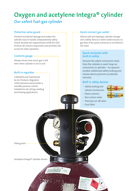## **Oxygen and acetylene Integra® cylinder Our safest fuel-gas cylinder**

#### **Protective valve guard**

Prevents accidental damage and makes the cylinder easy to handle. Independently safety tested. Exceeds the requirements of EN ISO 11117. Protects all critical components and provides full access for valve operation.

#### **Contents gauge**

Always shows how much gas is left, even when cylinder is not in use!

#### **Built-in regulator**

Calibrated and maintained by Air Products. Regulates outlet pressure and provides a variable pressure control. Suitable for all cutting, welding and brazing applications.

#### **Quick connect gas outlet**

Allows safe and rapid gas cylinder changeover. Safety device in valve outlet ensures no gas flow if the quick connector is not fitted to the valve.

#### **Quick connector with built-in safety**

Ensures the safest connection every time the cylinder is used. Snap-on connection to cylinder – no spanner needed. Additional safety locking and release device prevents accidental removal.

### **Built in safety devices:**

- Safety locking and release mechanism
- Flame arrestor
- Non-return valve
- Thermal cut-off valve
- Dust filter

Filling point

Acetylene Integra® cylinder shown

IN962 WT (6719) N

ACETTLEME - KRON

 $12913$